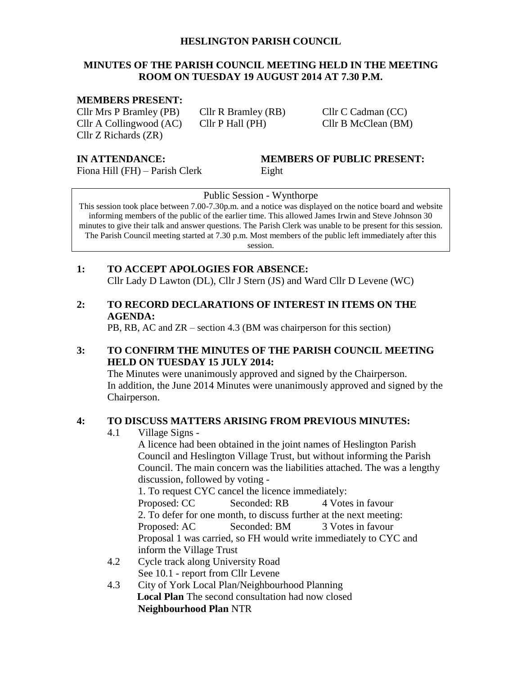#### **HESLINGTON PARISH COUNCIL**

#### **MINUTES OF THE PARISH COUNCIL MEETING HELD IN THE MEETING ROOM ON TUESDAY 19 AUGUST 2014 AT 7.30 P.M.**

#### **MEMBERS PRESENT:**

Cllr Mrs P Bramley (PB) Cllr R Bramley (RB) Cllr C Cadman (CC) Cllr A Collingwood (AC) Cllr P Hall (PH) Cllr B McClean (BM) Cllr Z Richards (ZR)

Fiona Hill (FH) – Parish Clerk Eight

# **IN ATTENDANCE: MEMBERS OF PUBLIC PRESENT:**

Public Session - Wynthorpe

This session took place between 7.00-7.30p.m. and a notice was displayed on the notice board and website informing members of the public of the earlier time. This allowed James Irwin and Steve Johnson 30 minutes to give their talk and answer questions. The Parish Clerk was unable to be present for this session. The Parish Council meeting started at 7.30 p.m. Most members of the public left immediately after this

session.

#### **1: TO ACCEPT APOLOGIES FOR ABSENCE:** Cllr Lady D Lawton (DL), Cllr J Stern (JS) and Ward Cllr D Levene (WC)

#### **2: TO RECORD DECLARATIONS OF INTEREST IN ITEMS ON THE AGENDA:**

PB, RB, AC and ZR – section 4.3 (BM was chairperson for this section)

#### **3: TO CONFIRM THE MINUTES OF THE PARISH COUNCIL MEETING HELD ON TUESDAY 15 JULY 2014:**

The Minutes were unanimously approved and signed by the Chairperson. In addition, the June 2014 Minutes were unanimously approved and signed by the Chairperson.

#### **4: TO DISCUSS MATTERS ARISING FROM PREVIOUS MINUTES:**

4.1 Village Signs -

A licence had been obtained in the joint names of Heslington Parish Council and Heslington Village Trust, but without informing the Parish Council. The main concern was the liabilities attached. The was a lengthy discussion, followed by voting -

1. To request CYC cancel the licence immediately: Proposed: CC Seconded: RB 4 Votes in favour 2. To defer for one month, to discuss further at the next meeting: Proposed: AC Seconded: BM 3 Votes in favour Proposal 1 was carried, so FH would write immediately to CYC and inform the Village Trust

- 4.2 Cycle track along University Road See 10.1 - report from Cllr Levene
- 4.3 City of York Local Plan/Neighbourhood Planning **Local Plan** The second consultation had now closed **Neighbourhood Plan** NTR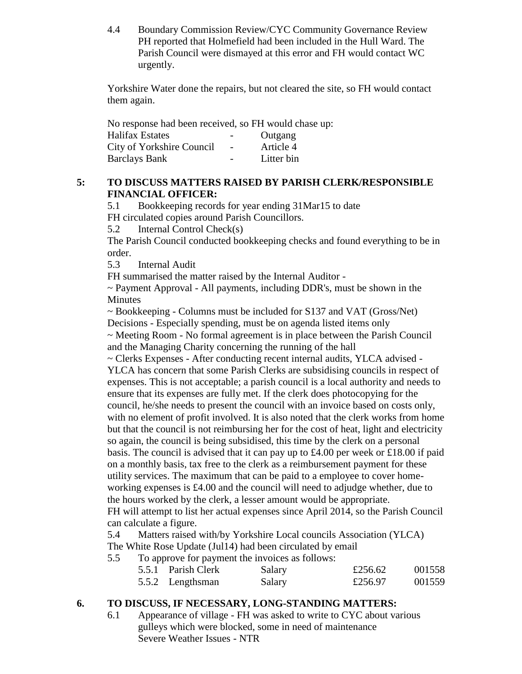4.4 Boundary Commission Review/CYC Community Governance Review PH reported that Holmefield had been included in the Hull Ward. The Parish Council were dismayed at this error and FH would contact WC urgently.

Yorkshire Water done the repairs, but not cleared the site, so FH would contact them again.

No response had been received, so FH would chase up:

| <b>Halifax Estates</b>    | $\overline{\phantom{0}}$ | Outgang    |
|---------------------------|--------------------------|------------|
| City of Yorkshire Council | $\overline{\phantom{0}}$ | Article 4  |
| <b>Barclays Bank</b>      |                          | Litter bin |

#### **5: TO DISCUSS MATTERS RAISED BY PARISH CLERK/RESPONSIBLE FINANCIAL OFFICER:**

5.1 Bookkeeping records for year ending 31Mar15 to date FH circulated copies around Parish Councillors.

5.2 Internal Control Check(s)

The Parish Council conducted bookkeeping checks and found everything to be in order.

5.3 Internal Audit

FH summarised the matter raised by the Internal Auditor -

~ Payment Approval - All payments, including DDR's, must be shown in the Minutes

~ Bookkeeping - Columns must be included for S137 and VAT (Gross/Net)

Decisions - Especially spending, must be on agenda listed items only

~ Meeting Room - No formal agreement is in place between the Parish Council and the Managing Charity concerning the running of the hall

~ Clerks Expenses - After conducting recent internal audits, YLCA advised - YLCA has concern that some Parish Clerks are subsidising councils in respect of expenses. This is not acceptable; a parish council is a local authority and needs to ensure that its expenses are fully met. If the clerk does photocopying for the council, he/she needs to present the council with an invoice based on costs only, with no element of profit involved. It is also noted that the clerk works from home but that the council is not reimbursing her for the cost of heat, light and electricity so again, the council is being subsidised, this time by the clerk on a personal basis. The council is advised that it can pay up to £4.00 per week or £18.00 if paid on a monthly basis, tax free to the clerk as a reimbursement payment for these utility services. The maximum that can be paid to a employee to cover homeworking expenses is £4.00 and the council will need to adjudge whether, due to the hours worked by the clerk, a lesser amount would be appropriate. FH will attempt to list her actual expenses since April 2014, so the Parish Council can calculate a figure.

5.4 Matters raised with/by Yorkshire Local councils Association (YLCA) The White Rose Update (Jul14) had been circulated by email

5.5 To approve for payment the invoices as follows:

| the second company of the company of the second company of the second company of the second company of the second company of the second company of the second company of the second company of the second company of the secon |        |         |        |
|--------------------------------------------------------------------------------------------------------------------------------------------------------------------------------------------------------------------------------|--------|---------|--------|
| 5.5.1 Parish Clerk                                                                                                                                                                                                             | Salary | £256.62 | 001558 |
| 5.5.2 Lengthsman                                                                                                                                                                                                               | Salary | £256.97 | 001559 |

### **6. TO DISCUSS, IF NECESSARY, LONG-STANDING MATTERS:**

6.1 Appearance of village - FH was asked to write to CYC about various gulleys which were blocked, some in need of maintenance Severe Weather Issues - NTR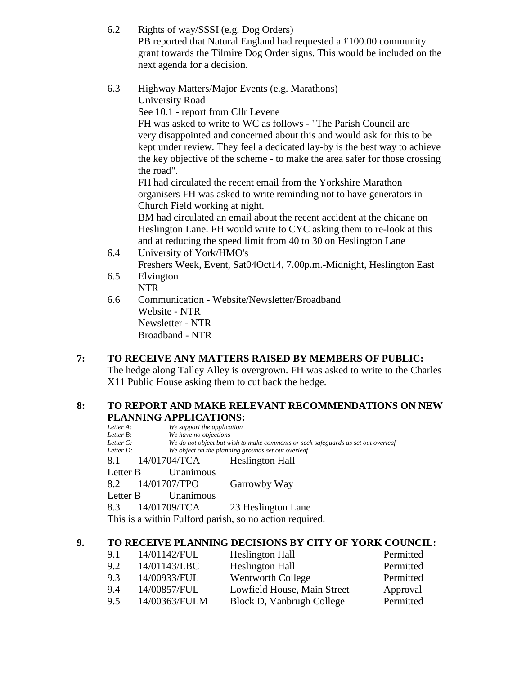- 6.2 Rights of way/SSSI (e.g. Dog Orders) PB reported that Natural England had requested a £100.00 community grant towards the Tilmire Dog Order signs. This would be included on the next agenda for a decision.
- 6.3 Highway Matters/Major Events (e.g. Marathons) University Road See 10.1 - report from Cllr Levene FH was asked to write to WC as follows - "The Parish Council are very disappointed and concerned about this and would ask for this to be kept under review. They feel a dedicated lay-by is the best way to achieve the key objective of the scheme - to make the area safer for those crossing the road". FH had circulated the recent email from the Yorkshire Marathon organisers FH was asked to write reminding not to have generators in Church Field working at night. BM had circulated an email about the recent accident at the chicane on Heslington Lane. FH would write to CYC asking them to re-look at this and at reducing the speed limit from 40 to 30 on Heslington Lane
- 6.4 University of York/HMO's Freshers Week, Event, Sat04Oct14, 7.00p.m.-Midnight, Heslington East 6.5 Elvington
- NTR
- 6.6 Communication Website/Newsletter/Broadband Website - NTR Newsletter - NTR Broadband - NTR

## **7: TO RECEIVE ANY MATTERS RAISED BY MEMBERS OF PUBLIC:**

The hedge along Talley Alley is overgrown. FH was asked to write to the Charles X11 Public House asking them to cut back the hedge.

#### **8: TO REPORT AND MAKE RELEVANT RECOMMENDATIONS ON NEW PLANNING APPLICATIONS:**

| Letter A:    | We support the application       |                                                                                   |  |  |
|--------------|----------------------------------|-----------------------------------------------------------------------------------|--|--|
| Letter B:    |                                  | We have no objections                                                             |  |  |
| Letter $C$ : |                                  | We do not object but wish to make comments or seek safeguards as set out overleaf |  |  |
| Letter D:    |                                  | We object on the planning grounds set out overleaf                                |  |  |
|              | 8.1 14/01704/TCA Heslington Hall |                                                                                   |  |  |
| Letter B     | Unanimous                        |                                                                                   |  |  |
|              | 8.2 14/01707/TPO                 | Garrowby Way                                                                      |  |  |
| Letter B     | Unanimous                        |                                                                                   |  |  |
|              | 8.3 14/01709/TCA                 | 23 Heslington Lane                                                                |  |  |
|              |                                  | This is a within Fulford parish, so no action required.                           |  |  |

### **9. TO RECEIVE PLANNING DECISIONS BY CITY OF YORK COUNCIL:**

| 9.1 | 14/01142/FUL  | Heslington Hall             | Permitted |
|-----|---------------|-----------------------------|-----------|
| 9.2 | 14/01143/LBC  | <b>Heslington Hall</b>      | Permitted |
| 9.3 | 14/00933/FUL  | Wentworth College           | Permitted |
| 9.4 | 14/00857/FUL  | Lowfield House, Main Street | Approval  |
| 9.5 | 14/00363/FULM | Block D, Vanbrugh College   | Permitted |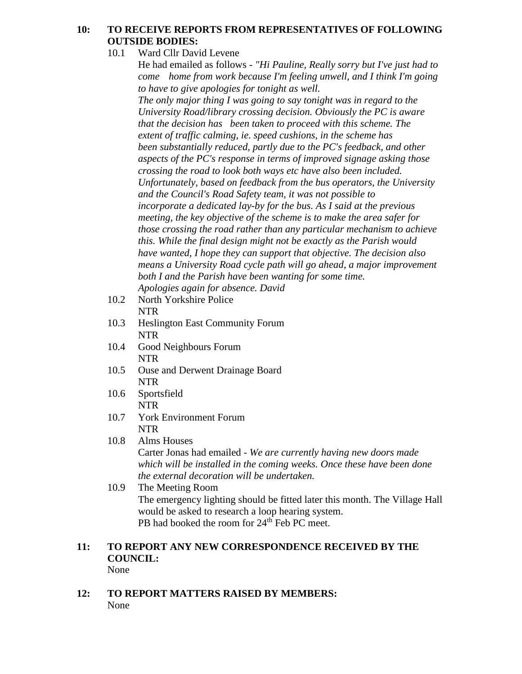#### **10: TO RECEIVE REPORTS FROM REPRESENTATIVES OF FOLLOWING OUTSIDE BODIES:**

10.1 Ward Cllr David Levene

He had emailed as follows - *"Hi Pauline, Really sorry but I've just had to come home from work because I'm feeling unwell, and I think I'm going to have to give apologies for tonight as well.* 

*The only major thing I was going to say tonight was in regard to the University Road/library crossing decision. Obviously the PC is aware that the decision has been taken to proceed with this scheme. The extent of traffic calming, ie. speed cushions, in the scheme has been substantially reduced, partly due to the PC's feedback, and other aspects of the PC's response in terms of improved signage asking those crossing the road to look both ways etc have also been included. Unfortunately, based on feedback from the bus operators, the University and the Council's Road Safety team, it was not possible to incorporate a dedicated lay-by for the bus. As I said at the previous meeting, the key objective of the scheme is to make the area safer for those crossing the road rather than any particular mechanism to achieve this. While the final design might not be exactly as the Parish would have wanted, I hope they can support that objective. The decision also means a University Road cycle path will go ahead, a major improvement both I and the Parish have been wanting for some time. Apologies again for absence. David*

- 10.2 North Yorkshire Police NTR
- 10.3 Heslington East Community Forum NTR
- 10.4 Good Neighbours Forum NTR
- 10.5 Ouse and Derwent Drainage Board NTR
- 10.6 Sportsfield NTR
- 10.7 York Environment Forum NTR
- 10.8 Alms Houses

Carter Jonas had emailed - *We are currently having new doors made which will be installed in the coming weeks. Once these have been done the external decoration will be undertaken.* 

10.9 The Meeting Room The emergency lighting should be fitted later this month. The Village Hall would be asked to research a loop hearing system. PB had booked the room for 24<sup>th</sup> Feb PC meet.

#### **11: TO REPORT ANY NEW CORRESPONDENCE RECEIVED BY THE COUNCIL:** None

**12: TO REPORT MATTERS RAISED BY MEMBERS:** None